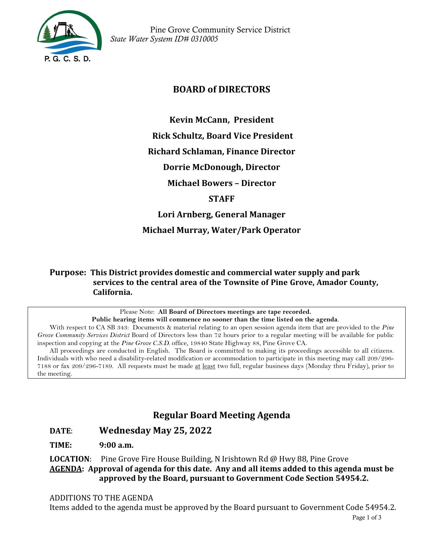

 Pine Grove Community Service District *State Water System ID# 0310005*

## **BOARD of DIRECTORS**

**Kevin McCann, President** 

**Rick Schultz, Board Vice President** 

**Richard Schlaman, Finance Director**

**Dorrie McDonough, Director**

**Michael Bowers – Director** 

**STAFF**

**Lori Arnberg, General Manager** 

**Michael Murray, Water/Park Operator**

**Purpose: This District provides domestic and commercial water supply and park services to the central area of the Townsite of Pine Grove, Amador County, California.**

> Please Note: **All Board of Directors meetings are tape recorded. Public hearing items will commence no sooner than the time listed on the agenda**.

With respect to CA SB 343: Documents & material relating to an open session agenda item that are provided to the *Pine Grove Community Services District* Board of Directors less than 72 hours prior to a regular meeting will be available for public inspection and copying at the *Pine Grove C.S.D.* office, 19840 State Highway 88, Pine Grove CA.

All proceedings are conducted in English. The Board is committed to making its proceedings accessible to all citizens. Individuals with who need a disability-related modification or accommodation to participate in this meeting may call 209/296- 7188 or fax 209/296-7189. All requests must be made at least two full, regular business days (Monday thru Friday), prior to the meeting.

# **Regular Board Meeting Agenda**

### **DATE**: **Wednesday May 25, 2022**

**TIME: 9:00 a.m.**

**LOCATION**: Pine Grove Fire House Building, N Irishtown Rd @ Hwy 88, Pine Grove **AGENDA: Approval of agenda for this date. Any and all items added to this agenda must be approved by the Board, pursuant to Government Code Section 54954.2.**

#### ADDITIONS TO THE AGENDA

Items added to the agenda must be approved by the Board pursuant to Government Code 54954.2.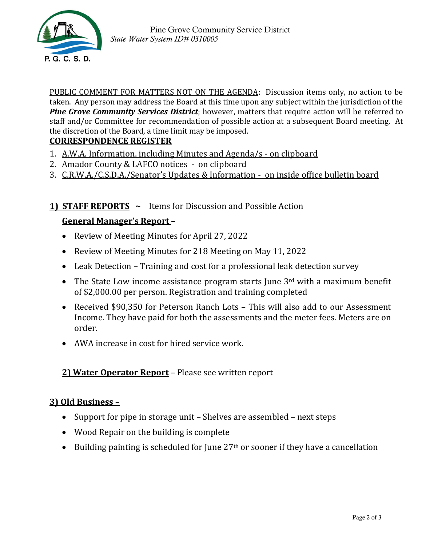

PUBLIC COMMENT FOR MATTERS NOT ON THE AGENDA: Discussion items only, no action to be taken. Any person may address the Board at this time upon any subject within the jurisdiction of the *Pine Grove Community Services District*; however, matters that require action will be referred to staff and/or Committee for recommendation of possible action at a subsequent Board meeting. At the discretion of the Board, a time limit may be imposed.

### **CORRESPONDENCE REGISTER**

- 1. A.W.A. Information, including Minutes and Agenda/s on clipboard
- 2. Amador County & LAFCO notices on clipboard
- 3. C.R.W.A./C.S.D.A./Senator's Updates & Information on inside office bulletin board

# **1) STAFF REPORTS ~** Items for Discussion and Possible Action

# **General Manager's Report** –

- Review of Meeting Minutes for April 27, 2022
- Review of Meeting Minutes for 218 Meeting on May 11, 2022
- Leak Detection Training and cost for a professional leak detection survey
- The State Low income assistance program starts June 3<sup>rd</sup> with a maximum benefit of \$2,000.00 per person. Registration and training completed
- Received \$90,350 for Peterson Ranch Lots This will also add to our Assessment Income. They have paid for both the assessments and the meter fees. Meters are on order.
- AWA increase in cost for hired service work.

# **2) Water Operator Report** – Please see written report

### **3) Old Business –**

- Support for pipe in storage unit Shelves are assembled next steps
- Wood Repair on the building is complete
- Building painting is scheduled for June  $27<sup>th</sup>$  or sooner if they have a cancellation